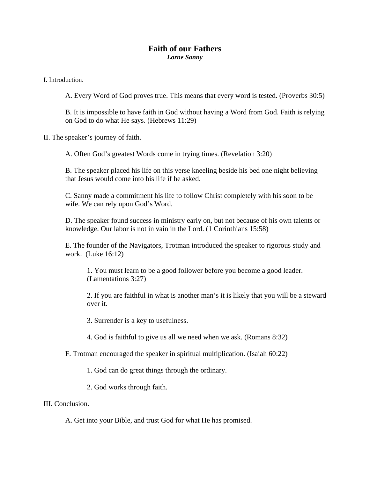## **Faith of our Fathers**  *Lorne Sanny*

I. Introduction.

A. Every Word of God proves true. This means that every word is tested. (Proverbs 30:5)

B. It is impossible to have faith in God without having a Word from God. Faith is relying on God to do what He says. (Hebrews 11:29)

II. The speaker's journey of faith.

A. Often God's greatest Words come in trying times. (Revelation 3:20)

B. The speaker placed his life on this verse kneeling beside his bed one night believing that Jesus would come into his life if he asked.

C. Sanny made a commitment his life to follow Christ completely with his soon to be wife. We can rely upon God's Word.

D. The speaker found success in ministry early on, but not because of his own talents or knowledge. Our labor is not in vain in the Lord. (1 Corinthians 15:58)

E. The founder of the Navigators, Trotman introduced the speaker to rigorous study and work. (Luke 16:12)

1. You must learn to be a good follower before you become a good leader. (Lamentations 3:27)

2. If you are faithful in what is another man's it is likely that you will be a steward over it.

3. Surrender is a key to usefulness.

4. God is faithful to give us all we need when we ask. (Romans 8:32)

F. Trotman encouraged the speaker in spiritual multiplication. (Isaiah 60:22)

1. God can do great things through the ordinary.

2. God works through faith.

## III. Conclusion.

A. Get into your Bible, and trust God for what He has promised.